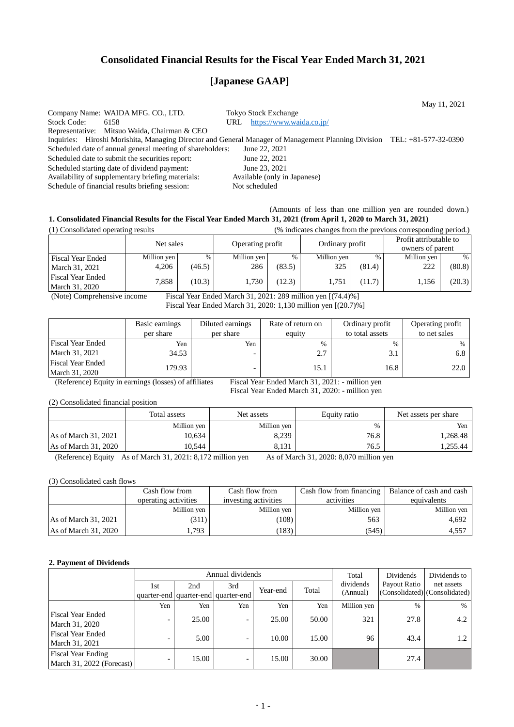## **Consolidated Financial Results for the Fiscal Year Ended March 31, 2021**

# **[Japanese GAAP]**

May 11, 2021 Company Name: WAIDA MFG. CO., LTD. Tokyo Stock Exchange Stock Code: 6158 URL <https://www.waida.co.jp/> Representative: Mitsuo Waida, Chairman & CEO Inquiries: Hiroshi Morishita, Managing Director and General Manager of Management Planning Division TEL: +81-577-32-0390<br>Scheduled date of annual general meeting of shareholders: June 22, 2021 Scheduled date of annual general meeting of shareholders: Scheduled date to submit the securities report: June 22, 2021 Scheduled starting date of dividend payment: June 23, 2021<br>Availability of supplementary briefing materials: Available (only in Japanese) Availability of supplementary briefing materials: Schedule of financial results briefing session: Not scheduled

## (Amounts of less than one million yen are rounded down.) **1. Consolidated Financial Results for the Fiscal Year Ended March 31, 2021 (from April 1, 2020 to March 31, 2021)**

| (1) Consolidated operating results         |             |        | (% indicates changes from the previous corresponding period.) |        |                 |               |                                            |        |
|--------------------------------------------|-------------|--------|---------------------------------------------------------------|--------|-----------------|---------------|--------------------------------------------|--------|
|                                            | Net sales   |        | Operating profit                                              |        | Ordinary profit |               | Profit attributable to<br>owners of parent |        |
| <b>Fiscal Year Ended</b>                   | Million yen | %      | Million yen                                                   | %      | Million yen     | $\frac{0}{0}$ | Million yen                                | $\%$   |
| March 31, 2021                             | 4.206       | (46.5) | 286                                                           | (83.5) | 325             | (81.4)        | 222                                        | (80.8) |
| <b>Fiscal Year Ended</b><br>March 31, 2020 | 7.858       | (10.3) | 1.730                                                         | (12.3) | 1.751           | (11.7)        | 1,156                                      | (20.3) |

(Note) Comprehensive income Fiscal Year Ended March 31, 2021: 289 million yen [(74.4)%] Fiscal Year Ended March 31, 2020: 1,130 million yen [(20.7)%]

|                                            | Basic earnings<br>per share | Diluted earnings<br>per share   | Rate of return on<br>equity | Ordinary profit<br>to total assets | Operating profit<br>to net sales |
|--------------------------------------------|-----------------------------|---------------------------------|-----------------------------|------------------------------------|----------------------------------|
| <b>Fiscal Year Ended</b><br>March 31, 2021 | Yen<br>34.53                | Yen<br>$\overline{\phantom{0}}$ | 2.7                         | $\%$                               | $\%$<br>6.8                      |
| <b>Fiscal Year Ended</b><br>March 31, 2020 | 179.93                      |                                 | 15.1                        | 16.8                               | 22.0                             |

(Reference) Equity in earnings (losses) of affiliates Fiscal Year Ended March 31, 2021: - million yen

Fiscal Year Ended March 31, 2020: - million yen

(2) Consolidated financial position

|                      | Total assets | Net assets  | Equity ratio | Net assets per share |  |
|----------------------|--------------|-------------|--------------|----------------------|--|
|                      | Million yen  | Million yen | $\%$         | Yen                  |  |
| As of March 31, 2021 | 10,634       | 8,239       | 76.8         | 1,268.48             |  |
| As of March 31, 2020 | 10.544       | 8.131       | 76.5         | 1,255.44             |  |

(Reference) Equity As of March 31, 2021: 8,172 million yen As of March 31, 2020: 8,070 million yen

(3) Consolidated cash flows

|                      | Cash flow from       | Cash flow from       | Cash flow from financing | Balance of cash and cash |
|----------------------|----------------------|----------------------|--------------------------|--------------------------|
|                      | operating activities | investing activities | activities               | equivalents              |
|                      | Million yen          | Million yen          | Million yen              | Million yen              |
| As of March 31, 2021 | (311)                | (108)                | 563                      | 4.692                    |
| As of March 31, 2020 | . . 793              | 183)                 | (545)                    | 4,557                    |

#### **2. Payment of Dividends**

|                                                        |                          |       | Annual dividends                    |          |       | Total       | Dividends | Dividends to                  |            |
|--------------------------------------------------------|--------------------------|-------|-------------------------------------|----------|-------|-------------|-----------|-------------------------------|------------|
|                                                        | 1st                      | 2nd   | 3rd                                 | Year-end |       | Total       | dividends | Payout Ratio                  | net assets |
|                                                        |                          |       | quarter-end quarter-end quarter-end |          |       | (Annual)    |           | (Consolidated) (Consolidated) |            |
|                                                        | Yen                      | Yen   | Yen                                 | Yen      | Yen   | Million yen | $\%$      | $\%$                          |            |
| Fiscal Year Ended<br>March 31, 2020                    | -                        | 25.00 | -                                   | 25.00    | 50.00 | 321         | 27.8      | 4.2                           |            |
| Fiscal Year Ended<br>March 31, 2021                    |                          | 5.00  | -                                   | 10.00    | 15.00 | 96          | 43.4      | 1.2                           |            |
| <b>Fiscal Year Ending</b><br>March 31, 2022 (Forecast) | $\overline{\phantom{0}}$ | 15.00 | -                                   | 15.00    | 30.00 |             | 27.4      |                               |            |